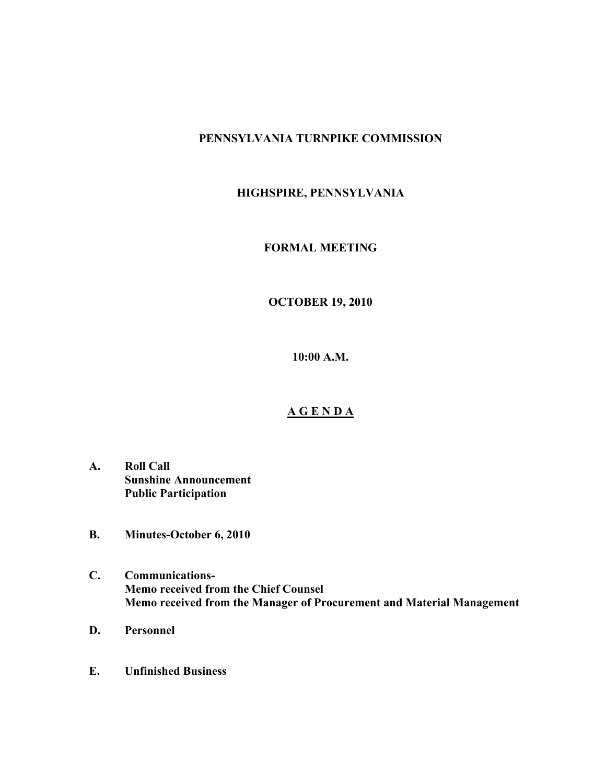## **PENNSYLVANIA TURNPIKE COMMISSION**

# **HIGHSPIRE, PENNSYLVANIA**

### **FORMAL MEETING**

## **OCTOBER 19, 2010**

**10:00 A.M.**

#### **A G E N D A**

- **A. Roll Call Sunshine Announcement Public Participation**
- **B. Minutes-October 6, 2010**
- **C. Communications-Memo received from the Chief Counsel Memo received from the Manager of Procurement and Material Management**
- **D. Personnel**
- **E. Unfinished Business**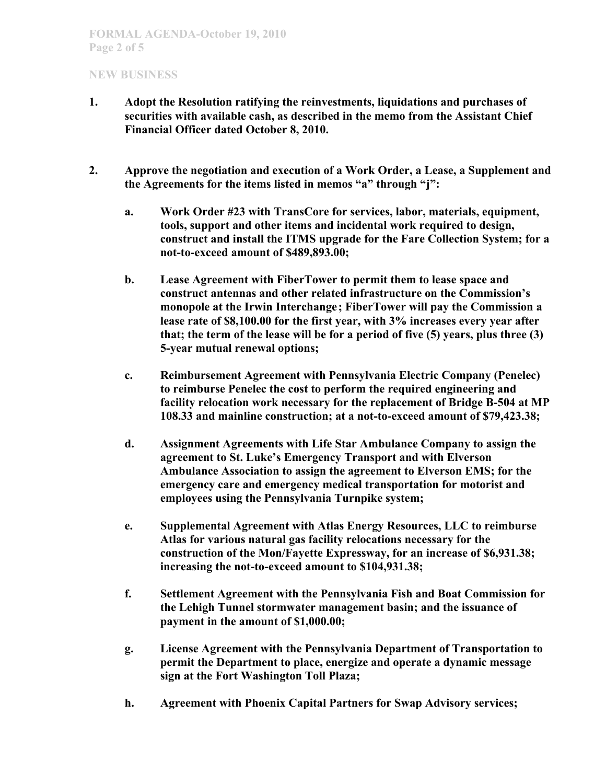- **1. Adopt the Resolution ratifying the reinvestments, liquidations and purchases of securities with available cash, as described in the memo from the Assistant Chief Financial Officer dated October 8, 2010.**
- **2. Approve the negotiation and execution of a Work Order, a Lease, a Supplement and the Agreements for the items listed in memos "a" through "j":**
	- **a. Work Order #23 with TransCore for services, labor, materials, equipment, tools, support and other items and incidental work required to design, construct and install the ITMS upgrade for the Fare Collection System; for a not-to-exceed amount of \$489,893.00;**
	- **b. Lease Agreement with FiberTower to permit them to lease space and construct antennas and other related infrastructure on the Commission's monopole at the Irwin Interchange; FiberTower will pay the Commission a lease rate of \$8,100.00 for the first year, with 3% increases every year after that; the term of the lease will be for a period of five (5) years, plus three (3) 5-year mutual renewal options;**
	- **c. Reimbursement Agreement with Pennsylvania Electric Company (Penelec) to reimburse Penelec the cost to perform the required engineering and facility relocation work necessary for the replacement of Bridge B-504 at MP 108.33 and mainline construction; at a not-to-exceed amount of \$79,423.38;**
	- **d. Assignment Agreements with Life Star Ambulance Company to assign the agreement to St. Luke's Emergency Transport and with Elverson Ambulance Association to assign the agreement to Elverson EMS; for the emergency care and emergency medical transportation for motorist and employees using the Pennsylvania Turnpike system;**
	- **e. Supplemental Agreement with Atlas Energy Resources, LLC to reimburse Atlas for various natural gas facility relocations necessary for the construction of the Mon/Fayette Expressway, for an increase of \$6,931.38; increasing the not-to-exceed amount to \$104,931.38;**
	- **f. Settlement Agreement with the Pennsylvania Fish and Boat Commission for the Lehigh Tunnel stormwater management basin; and the issuance of payment in the amount of \$1,000.00;**
	- **g. License Agreement with the Pennsylvania Department of Transportation to permit the Department to place, energize and operate a dynamic message sign at the Fort Washington Toll Plaza;**
	- **h. Agreement with Phoenix Capital Partners for Swap Advisory services;**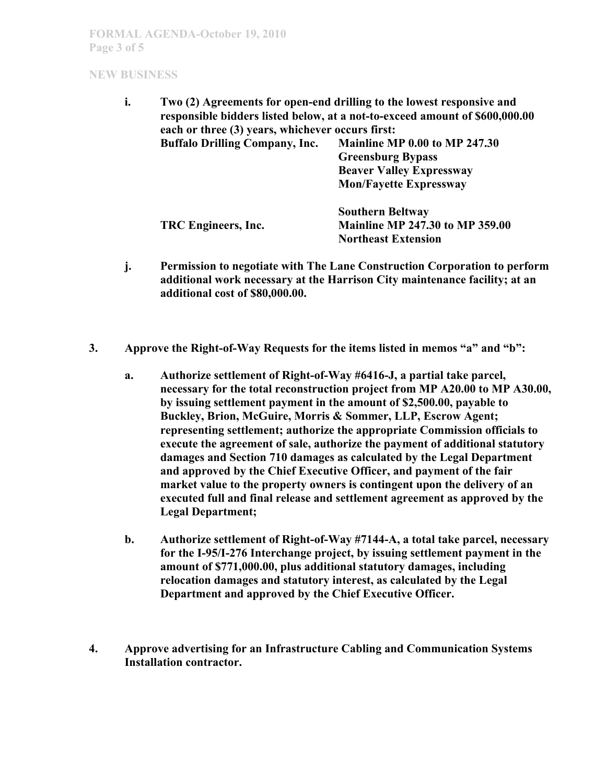| i. | Two (2) Agreements for open-end drilling to the lowest responsive and<br>responsible bidders listed below, at a not-to-exceed amount of \$600,000.00<br>each or three (3) years, whichever occurs first: |                                        |
|----|----------------------------------------------------------------------------------------------------------------------------------------------------------------------------------------------------------|----------------------------------------|
|    | <b>Buffalo Drilling Company, Inc.</b>                                                                                                                                                                    | Mainline MP 0.00 to MP 247.30          |
|    |                                                                                                                                                                                                          | <b>Greensburg Bypass</b>               |
|    |                                                                                                                                                                                                          | <b>Beaver Valley Expressway</b>        |
|    |                                                                                                                                                                                                          | <b>Mon/Fayette Expressway</b>          |
|    |                                                                                                                                                                                                          | <b>Southern Beltway</b>                |
|    | TRC Engineers, Inc.                                                                                                                                                                                      | <b>Mainline MP 247.30 to MP 359.00</b> |
|    |                                                                                                                                                                                                          | <b>Northeast Extension</b>             |
|    |                                                                                                                                                                                                          |                                        |

- **j. Permission to negotiate with The Lane Construction Corporation to perform additional work necessary at the Harrison City maintenance facility; at an additional cost of \$80,000.00.**
- **3. Approve the Right-of-Way Requests for the items listed in memos "a" and "b":** 
	- **a. Authorize settlement of Right-of-Way #6416-J, a partial take parcel, necessary for the total reconstruction project from MP A20.00 to MP A30.00, by issuing settlement payment in the amount of \$2,500.00, payable to Buckley, Brion, McGuire, Morris & Sommer, LLP, Escrow Agent; representing settlement; authorize the appropriate Commission officials to execute the agreement of sale, authorize the payment of additional statutory damages and Section 710 damages as calculated by the Legal Department and approved by the Chief Executive Officer, and payment of the fair market value to the property owners is contingent upon the delivery of an executed full and final release and settlement agreement as approved by the Legal Department;**
	- **b. Authorize settlement of Right-of-Way #7144-A, a total take parcel, necessary for the I-95/I-276 Interchange project, by issuing settlement payment in the amount of \$771,000.00, plus additional statutory damages, including relocation damages and statutory interest, as calculated by the Legal Department and approved by the Chief Executive Officer.**
- **4. Approve advertising for an Infrastructure Cabling and Communication Systems Installation contractor.**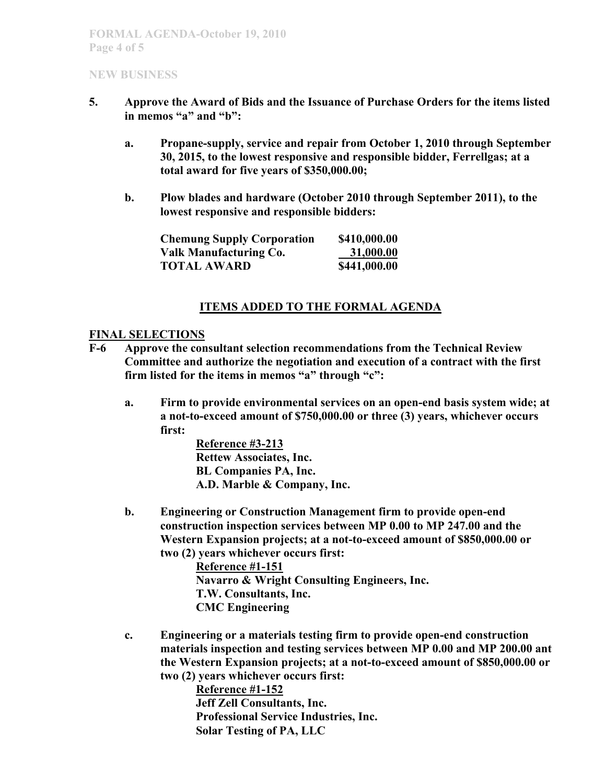- **5. Approve the Award of Bids and the Issuance of Purchase Orders for the items listed in memos "a" and "b":**
	- **a. Propane-supply, service and repair from October 1, 2010 through September 30, 2015, to the lowest responsive and responsible bidder, Ferrellgas; at a total award for five years of \$350,000.00;**
	- **b. Plow blades and hardware (October 2010 through September 2011), to the lowest responsive and responsible bidders:**

| <b>Chemung Supply Corporation</b> | \$410,000.00 |
|-----------------------------------|--------------|
| Valk Manufacturing Co.            | 31,000.00    |
| <b>TOTAL AWARD</b>                | \$441,000.00 |

## **ITEMS ADDED TO THE FORMAL AGENDA**

#### **FINAL SELECTIONS**

- **F-6 Approve the consultant selection recommendations from the Technical Review Committee and authorize the negotiation and execution of a contract with the first firm listed for the items in memos "a" through "c":**
	- **a. Firm to provide environmental services on an open-end basis system wide; at a not-to-exceed amount of \$750,000.00 or three (3) years, whichever occurs first:**

**Reference #3-213 Rettew Associates, Inc. BL Companies PA, Inc. A.D. Marble & Company, Inc.**

**b. Engineering or Construction Management firm to provide open-end construction inspection services between MP 0.00 to MP 247.00 and the Western Expansion projects; at a not-to-exceed amount of \$850,000.00 or two (2) years whichever occurs first:**

> **Reference #1-151 Navarro & Wright Consulting Engineers, Inc. T.W. Consultants, Inc. CMC Engineering**

**c. Engineering or a materials testing firm to provide open-end construction materials inspection and testing services between MP 0.00 and MP 200.00 ant the Western Expansion projects; at a not-to-exceed amount of \$850,000.00 or two (2) years whichever occurs first:**

> **Reference #1-152 Jeff Zell Consultants, Inc. Professional Service Industries, Inc. Solar Testing of PA, LLC**